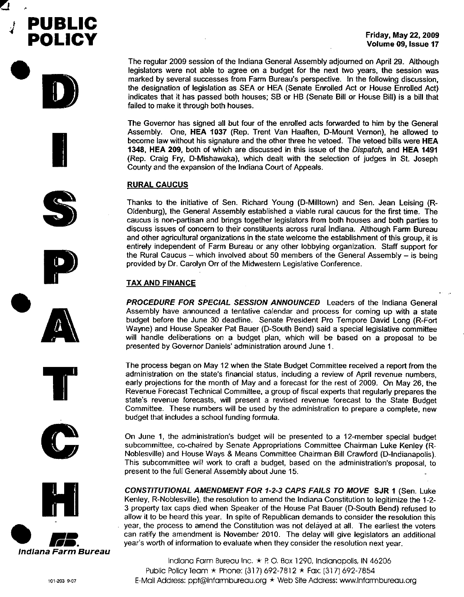

The regular 2009 session of the Indiana General Assembly adjourned on April 29. Although legislators were not able to agree on a budget for the next two years, the session was marked by several successes from Farm Bureau's perspective. In the following discussion, the designation of legislation as SEA or HEA (Senate Enrolled Act or House Enrolled Act) indicates that it has passed both houses; SB or HB (Senate Bill or House Bill) is a bill that failed to make it through both houses.

The Governor has signed all but four of the enrolled acts forwarded to him by the General Assembly. One, HEA 1037 (Rep. Trent Van Haaften, D-Mount Vernon), he allowed to become law without his signature and the other three he vetoed. The vetoed bills were HEA 1348, HEA 209, both of which are discussed in this issue of the *Dispatch,* and HEA 1491 (Rep. Craig Fry, D-Mishawaka), which dealt with the selection of judges in SI. Joseph County and the expansion of the Indiana Court of Appeals.

# RURAL CAUCUS

Thanks to the initiative of Sen. Richard Young (D-Milltown) and Sen. Jean Leising (R-Oldenburg), the General Assembly established a viable rural caucus for the first time. The caucus is non-partisan and brings together legislators from both houses and both parties to discuss issues of concern to their constituents across rural Indiana. Although Farm Bureau and other agricultural organizations in the state welcome the establishment of this group, it is entirely independent of Farm Bureau or any other lobbying organization. Staff support for the Rural Caucus - which involved about 50 members of the General Assembly - is being provided by Dr. Carolyn Orr of the Midwestern Legislative Conference.

# TAX AND FINANCE

*PROCEDURE FOR SPECIAL SESSION ANNOUNCED* Leaders of the Indiana General Assembly have announced a tentative calendar and process for coming up with a state budget before the June 30 deadline. Senate President Pro Tempore David Long (R-Fort Wayne) and House Speaker Pat Bauer (D-South Bend) said a special legislative committee will handle deliberations on a budget plan, which will be based on a proposal to be presented by Governor Daniels' administration around June 1.

The process began on May 12 when the State Budget Committee received a report from the administration on the state's financial status, including a review of April revenue numbers, early projections for the month of May and a forecast for the rest of 2009. On May 26, the Revenue Forecast Technical Committee, a group of fiscal experts that regularly prepares the state's revenue forecasts, will present a revised revenue forecast to the State Budget Committee. These numbers will be used by the administration to prepare a complete, new budget that includes a school funding formula.

On June 1, the administration's budget will be presented to a 12-member special budget subcommittee, co-chaired by Senate Appropriations Committee Chairman Luke Kenley (R-Noblesville) and House Ways & Means Committee Chairman Bill Crawford (D-Indianapolis). This subcommittee will work to craft a budget, based on the administration's proposal, to present to the full General Assembly about June 15.

*CONSTITUTIONAL AMENDMENT FOR* 1-2-3 *CAPS FAILS TO MOVE* SJR 1 (Sen. Luke Kenley, R-Noblesville), the resolution to amend the Indiana Constitution to legitimize the 1-2- 3 property tax caps died when Speaker of the House Pat Bauer (D-South Bend) refused to allow it to be heard this year. In spite of Republican demands to consider the resolution this year, the process to amend the Constitution was not delayed at all. The earliest the voters can ratify the amendment is November 2010. The delay will give legislators an additional year's worth of information to evaluate when they consider the resolution next year.

Indiana Farm Bureau Inc. \* R 0. Box 1290, Indianapolis, IN 46206 Public Policy Team \* Phone: (317) 692-7B12 \* Fax: [317) 692-7854 E-Mail Address: [ppt@infarmbureau.org](mailto:ppt@infarmbureau.org) \* Web Sile Address: [www.infarmbureau.org](http://www.infarmbureau.org)



.•

7

**PUBLIC**

**POLICY**

D

**I** 







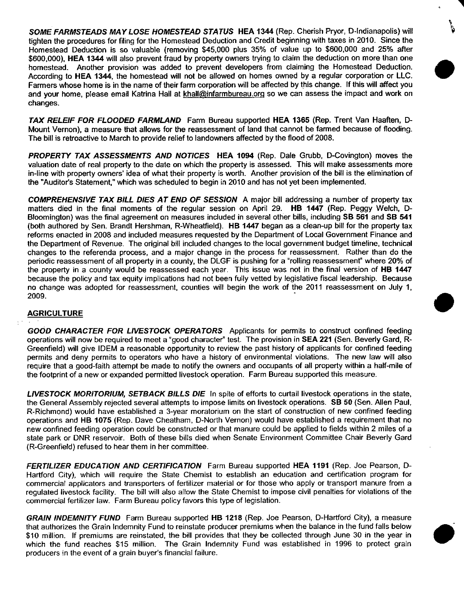*SOME FARMSTEADS MAY LOSE HOMESTEAD STATUS* **HEA 1344** (Rep. Cherish Pryor, D-Indianapolis) will .~ tighten the procedures for filing for the Homestead Deduction and Credit beginning with taxes in 2010. Since the Homestead Deduction is so valuable (removing \$45,000 plus 35% of value up to \$600,000 and 25% after \$600,000), **HEA 1344** will also prevent fraud by property owners trying to claim the deduction on more than one homestead. Another provision was added to prevent developers from claiming the Homestead Deduction. According to **HEA** 1344, the homestead will not be allowed on homes owned by a regular corporation or LLC. Fanmers whose home is in the name of their fanm corporation will be affected by this change. If this will affect you and your home, please email Katrina Hall at [khall@infarmbureau.org](mailto:khall@infarmbureau.org) so we can assess the impact and work on changes.

**.**<br>ج

*TAX RELEIF FOR FLOODED FARMLAND* Farm Bureau supported **HEA 1365** (Rep. Trent Van Haaften, D-Mount Vernon), a measure that allows for the reassessment of land that cannot be fanmed because of flooding. The bill is retroactive to March to provide relief to landowners affected by the flood of 2008.

*PROPERTY TAX ASSESSMENTS AND NOTICES* **HEA 1094** (Rep. Dale Grubb, D-Covington) moves the valuation date of real property to the date on which the property is assessed. This will make assessments more in-line with property owners' idea of what their property is worth. Another provision of the bill is the elimination of the "Auditor's Statement," which was scheduled to begin in 2010 and has not yet been implemented.

*COMPREHENSIVE TAX BILL DIES AT END* **OF** *SESSION* A major bill addressing a number of property tax matters died in the final moments of the regular session on April 29. **HB 1447** (Rep. Peggy Welch, 0- Bloomington) was the final agreement on measures included in several other bills, including **SB 561** and **SB 541** (both authored by Sen. Brandt Hershman, R-Wheatfield). **HB 1447** began as a clean-up bill for the property tax reforms enacted in 2008 and included measures requested by the Department of Local Government Finance and the Department of Revenue. The original bill included changes to the local government budget timeline, technical changes to the referenda process, and a major change in the process for reassessment. Rather than do the periodic reassessment of all property in a county, the DLGF is pushing for a "rolling reassessment" where 20% of the property in a county would be reassessed each year. This issue was not in the final version of **HB 1447** because the policy and tax equity implications had not been fully vetted by legislative fiscal leadership. Because no change was adopted for reassessment, counties will begin the work of the 2011 reassessment on July 1,  $2009.$ 

# **AGRICULTURE**

*GOOD CHARACTER FOR LIVESTOCK OPERATORS* Applicants for permits to construct confined feeding operations will now be required to meet a "good character" test. The provision in **SEA 221** (Sen. Beverly Gard, R-Greenfield) will give IDEM a reasonable opportunity to review the past history of applicants for confined feeding permits and deny permits to operators who have a history of environmental violations. The new law will also require that a good-faith attempt be made to notify the owners and occupants of all property within a half-mile of the footprint of a new or expanded permitted livestock operation. Farm Bureau supported this measure.

*LIVESTOCK MORITORIUM, SETBACK BILLS DIE* In spite of efforts to curtail livestock operations in the state, the General Assembly rejected several allempts to impose limits on livestock operations. **SB 50** (Sen. Allen Paul, R-Richmond) would have established a 3-year moratorium on the start of construction of new confined feeding operations and **HB 1075** (Rep. Dave Cheatham, D-North Vernon) would have established a requirement that no new confined feeding operation could be constructed or that manure could be applied to fields within 2 miles of a state park or DNR reservoir. Both of these bills died when Senate Environment Committee Chair Beverly Gard (R-Greenfield) refused to hear them in her commillee.

*FERTILIZER EDUCATION AND CERTIFICATION* Farm Bureau supported **HEA 1191** (Rep. Joe Pearson, D-Hartford City), which will require the State Chemist to establish an education and certification program for commercial applicators and transporters of fertilizer material or for those who apply or transport manure from a regulated livestock facility. The bill will also allow the State Chemist to impose civil penalties for violations of the commercial fertilizer law. Farm Bureau policy favors this type of legislation.

*GRAIN INDEMNITY FUND* Farm Bureau supported **HB 1218** (Rep. Joe Pearson, D-Hartford City), a measure that authorizes the Grain Indemnity Fund to reinstate producer premiums when the balance in the fund falls below \$10 million. If premiums are reinstated, the bill provides that they be collected through June 30 in the year in which the fund reaches \$15 million. The Grain Indemnity Fund was established in 1996 to protect grain producers in the event of a grain buyer's financial failure.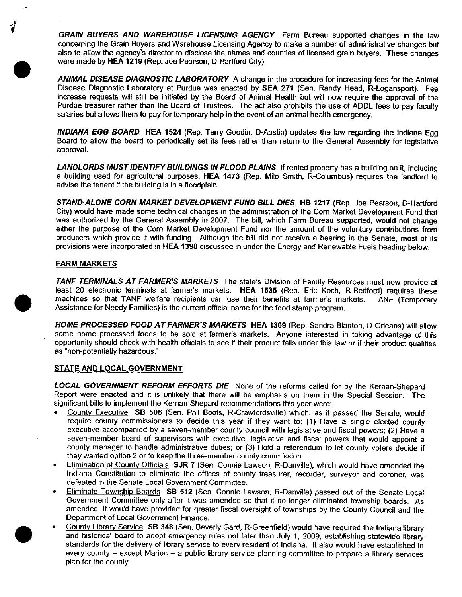*GRAIN BUYERS AND WAREHOUSE LICENSING AGENCY* Farm Bureau supported changes in the law concerning the Grain Buyers and Warehouse Licensing Agency to make a number of administrative changes but also to allow the agency's director to disclose the names and counties of licensed grain buyers. These changes were made by HEA 1219 (Rep. Joe Pearson, D-Hartford City).

*ANIMAL DISEASE DIAGNOSTIC LABORATORY* A change in the procedure for increasing fees for the Animal Disease Diagnostic Laboratory at Purdue was enacted by SEA 271 (Sen. Randy Head, R-Logansport). Fee increase requests will still be initiated by the Board of Animal Health but will now require the approval of the Purdue treasurer rather than the Board of Trustees. The act also prohibits the use of ADDL fees to pay faculty salaries but allows them to pay for temporary help in the event of an animal health emergency.

*INDIANA EGG BOARD* HEA 1524 (Rep. Terry Goodin, D-Austin) updates the law regarding the Indiana Egg Board to allow the board to periodically set its fees rather than return to the General Assembly for legislative approval.

*LANDLORDS MUST IDENTIFY BUILDINGS IN FLOOD PLAINS* If rented property has a building on it, including a building used for agricultural purposes, HEA 1473 (Rep. Milo Smith, R-Columbus) requires the landlord to advise the tenant if the building is in a floodplain.

*STAND-ALONE CORN MARKET DEVELOPMENT FUND BILL DIES* H8 1217 (Rep. Joe Pearson, D-Hartford City) would have made some technical changes in the administration of the Corn Market Development Fund that was authorized by the General Assembly in 2007. The bill, which Farm Bureau supported, would not change either the purpose of the Corn Market Development Fund nor the amount of the voluntary contributions from producers which provide it with funding. Although the bill did not receive a hearing in the Senate, most of its provisions were incorporated in HEA 1398 discussed in under the Energy and Renewable Fuels heading below.

### FARM MARKETS

**•** 

**•** 

**•** 

*TANF TERMINALS AT FARMER'S MARKETS* The state's Division of Family Resources must now provide at least 20 electronic terminals at farmer's markets. HEA 1535 (Rep. Eric Koch, R-Bedford) requires these machines so that TANF welfare recipients can use their benefits at farmer's markets. TANF (Temporary Assistance for Needy Families) is the current official name for the food stamp program.

*HOME PROCESSED FOOD AT FARMER'S MARKETS* HEA 1309 (Rep. Sandra Blanton, D-Orleans) will allow some home processed foods to be sold at farmer's markets. Anyone interested in taking advantage of this opportunity should check with health officials to see if their product falls under this law or if their product qualifies as "non-potentially hazardous."

#### STATE AND LOCAL GOVERNMENT

*LOCAL GOVERNMENT REFORM EFFORTS DIE* None of the reforms called for by the Kernan-Shepard Report were enacted and it is unlikely that there will be emphasis on them in the Special Session. The significant bills to implement the Kernan-Shepard recommendations this year were:

- County Executive SB 506 (Sen. Phil Boots, R-Crawfordsville) which, as it passed the Senate, would require county commissioners to decide this year if they want to: (1) Have a single elected county executive accompanied by a seven-member county council with legislative and fiscal powers; (2) Have a seven-member board of supervisors with executive, legislative and fiscal powers that would appoint a county manager to handle administrative duties; or (3) Hold a referendum to let county voters decide if they wanted option 2 or to keep the three-member county commission.
- Elimination of County Officials SJR 7 (Sen. Connie Lawson, R-Danville), which would have amended the Indiana Constitution to eliminate the offices of county treasurer, recorder, surveyor and coroner, was defeated in the Senate Local Government Committee.
- Eliminate Township Boards S8 512 (Sen. Connie Lawson, R-Danville) passed out of the Senate Local Government Committee only after it was amended so that it no longer eliminated township boards. As amended, it would have provided for greater fiscal oversight of townships by the County Council and the Department of Local Government Finance.
- County Library Service SB 348 (Sen. Beverly Gard, R-Greenfield) would have required the Indiana library and historical board to adopt emergency rules not iater than July 1, 2009, establishing statewide library standards for the delivery of library service to every resident of Indiana. It also would have established in every county  $-$  except Marion  $-$  a public library service planning committee to prepare a library services plan for the county.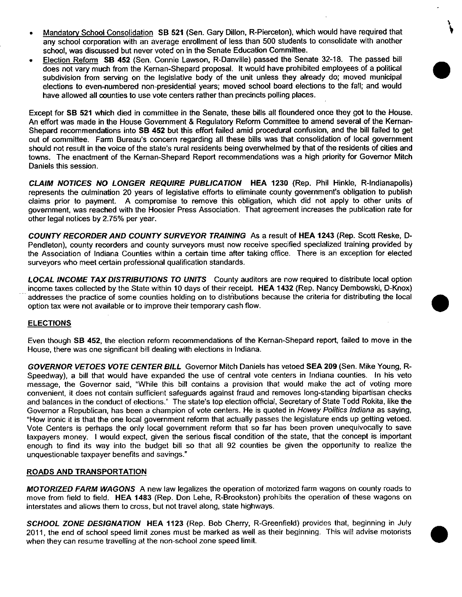Mandatory School Consolidation SB 521 (Sen. Gary Dillon, R-Pierceton), which would have required that any school corporation with an average enrollment of less than 500 students to consolidate with another school, was discussed but never voted on in the Senate Education Committee.

\

•

• Election Refonn SB 452 (Sen. Connie Lawson, R-Danville) passed the Senate 32-18. The passed bill does not vary much from the Kernan-Shepard proposal. It would have prohibited employees of a political subdivision from serving on the legislative body of the unit unless they already do; moved municipal elections to even-numbered non-presidential years; moved school board elections to the fall; and would have allowed all counties to use vote centers rather than precincts polling places.

Except for SB 521 which died in committee in the Senate, these bills all floundered once they got to the House. An effort was made in the House Government & Regulatory Reform Committee to amend several of the Kernan-Shepard recommendations into SB 452 but this effort failed amid procedural confusion, and the bill failed to get out of committee. Farm Bureau's concern regarding all these bills was that consolidation of local government should not result in the voice of the state's rural residents being overwhelmed by that of the residents of cities and towns. The enactment of the Kernan-Shepard Report recommendations was a high priority for Governor Mitch Daniels this session.

*CLAIM NOTICES NO LONGER REQUIRE PUBLICATION* HEA 1230 (Rep. Phil Hinkle, R-Indianapolis) represents the culmination 20 years of legislative efforts to eliminate county government's obligation to publish claims prior to payment. A compromise to remove this obligation, which did not apply to other units of government, was reached with the Hoosier Press Association. That agreement increases the publication rate for other legal notices by 2.75% per year.

*COUNTY RECORDER AND COUNTY SURVEYOR TRAINING* As a result of HEA 1243 (Rep. Scott Reske, 0- Pendleton), county recorders and county surveyors must now receive specified specialized training provided by the Association of Indiana Counties within a certain time after taking office. There is an exception for elected surveyors who meet certain professional qualification standards.

*LOCAL INCOME TAX DISTRIBUTIONS* TO *UNITS* County auditors are now required to distribute local option income taxes collected by the State within 10 days of their receipt. HEA 1432 (Rep. Nancy Dembowski, D-Knox) addresses the practice of some counties holding on to distributions because the criteria for distributing the local • option tax were not available or to improve their temporary cash flow.

## ELECTIONS

Even though SB 452, the eiection reform recommendations of the Kernan-Shepard report, failed to move in the House, there was one significant bill dealing with elections in Indiana.

*GOVERNOR VETOES VOTE CENTER BILL* Governor Mitch Daniels has vetoed SEA 209 (Sen. Mike Young, R-Speedway), a bill that would have expanded the use of central vote centers in Indiana counties. In his veto message, the Governor said, "While this bill contains a provision that would make the act of voting more convenient, it does not contain sufficient safeguards against fraud and removes long-standing bipartisan checks and balances in the conduct of elections." The state's top election official, Secretary of State Todd Rokita, like the Governor a Republican, has been a champion of vote centers. He is quoted in *Howey Politics Indiana* as saying, "How ironic it is that the one local government refonn that actually passes the legislature ends up getting vetoed. Vote Centers is perhaps the only local government reform that so far has been proven unequivocally to save taxpayers money. I would expect, given the serious fiscal condition of the state, that the concept is important enough to find its way into the budget bill so that all 92 counties be given the opportunity to realize the unquestionable taxpayer benefits and savings."

## ROADS AND TRANSPORTATION

*MOTORIZED FARM WAGONS* A new law legalizes the operation of motorized farm wagons on county roads to move from field to field. HEA 1483 (Rep. Don Lehe, R-Brookston) prohibits the operation of these wagons on interstates and allows them to cross, but not travel along, state highways.

*SCHOOL ZONE DESIGNATION* HEA 1123 (Rep. Bob Cherry, R-Greenfield) provides that, beginning in July 2011, the end of school speed limit zones must be marked as well as their beginning. This will advise motorists • when they can resume travelling at the non-school zone speed limit.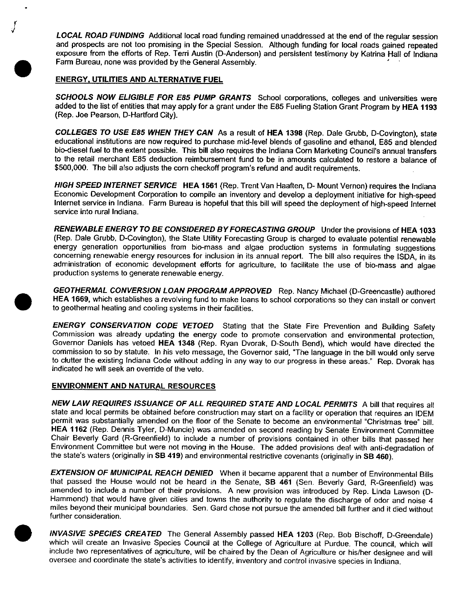*LOCAL ROAD FUNDING* Additional local road funding remained unaddressed at the end of the regular session and prospects are not too promising in the Special Session. Although funding for local roads gained repeated exposure from the efforts of Rep. Terri Austin (D-Anderson) and persistent testimony by Katrina Hall of Indiana Farm Bureau, none was provided by the General Assembly. '

### ENERGY, UTILITIES AND ALTERNATIVE FUEL

*J*

**•** 

**•** 

•

*SCHOOLS NOW ELIGIBLE FOR E85 PUMP GRANTS* School corporations, colleges and universities were added to the list of entities that may apply for a grant under the E85 Fueling Station Grant Program by HEA 1193 (Rep. Joe Pearson, D-Hartford City).

*COLLEGES* TO *USE E85 WHEN THEY CAN* As a result of HEA 1398 (Rep. Dale Grubb, D-Covington), state educational institutions are now required to purchase mid-level blends of gasoline and ethanol, E85 and blended bio-diesel fuel to the extent possible. This bill also requires the Indiana Corn Marketing Council's annual transfers to the retail merchant E85 deduction reimbursement fund to be in amounts calculated to restore a balance of \$500,000. The bill also adjusts the corn checkoff program's refund and audit requirements.

*HIGH SPEED INTERNET SERVICE* HEA 1561 (Rep. Trent Van Haaften, D- Mount Vernon) requires the Indiana Economic Development Corporation to compile an inventory and develop a deployment initiative for high-speed Internet service in Indiana. Farm Bureau is hopeful that this bill will speed the deployment of high-speed Internet service into rural Indiana.

*RENEWABLE ENERGY* TO *BE CONSIDERED BY FORECASTING GROUP* Under the provisions of HEA 1033 (Rep. Dale Grubb, D-Covington), the State Utility Forecasting Group is charged to evaluate potential renewable energy generation opportunities from bio-mass and algae production systems in formulating suggestions concerning renewable energy resources for inclusion in its annual report. The bill also requires the ISDA, in its administration of economic development efforts for agriculture, to facilitate the use of bio-mass and algae production systems to generate renewable energy.

*GEOTHERMAL CONVERSION LOAN PROGRAM APPROVED* Rep. Nancy Michael (D-Greencastle) authored HEA 1669, which establishes a revolving fund to make loans to school corporations so they can install or convert to geothermal heating and cooling systems in their facilities.

*ENERGY CONSERVATION CODE VETOED* Stating that the State Fire Prevention and Building Safety Commission was already updating the energy code to promote conservation and environmental protection, Governor Daniels has vetoed HEA 1348 (Rep. Ryan Dvorak, D-South Bend), which would have directed the commission to so by statute. In his veto message, the Governor said, "The language in the bill would only serve to clutter the existing Indiana Code without adding in any way to our progress in these areas." Rep. Dvorak has indicated he will seek an override of the veto.

### ENVIRONMENT AND NATURAL RESOURCES

*NEW LAW REQUIRES ISSUANCE* OF *ALL REQUIRED STATE AND LOCAL PERMITS* A bill that requires all state and local permits be obtained before construction may start on a facility or operation that requires an IDEM permit was substantially amended on the floor of the Senate to become an environmental "Christmas tree" bill. HEA 1162 (Rep. Dennis Tyler, D-Muncie) was amended on second reading by Senate Environment Committee Chair Beverly Gard (R-Greenfield) to include a number of provisions contained in other bills that passed her Environment Committee but were not moving in the House. The added provisions deal with anti-degradation of the state's waters (originally in SB 419) and environmental restrictive covenants (originally in SB 460).

*EXTENSION* OF *MUNICIPAL REACH DENtED* When it became apparent that a number of Environmental Bills that passed the House would not be heard in the Senate, SB 461 (Sen. Beverly Gard, R-Greenfield) was amended to include a number of their provisions. A new provision was introduced by Rep. Linda Lawson (D-Hammond) that would have given cities and towns the authority to regulate the discharge of odor and noise 4 miles beyond their municipal boundaries. Sen. Gard chose not pursue the amended bill further and it died without further consideration.

*INVASIVE SPECIES CREATED* The General Assembly passed HEA 1203 (Rep. Bob Bischoff, D-Greendale) which will create an Invasive Species Council at the College of Agriculture at Purdue. The council, which will include two representatives of agriculture, will be chaired by the Dean of Agriculture or his/her designee and will oversee and coordinate the state's activities to identify, inventory and control invasive species in Indiana.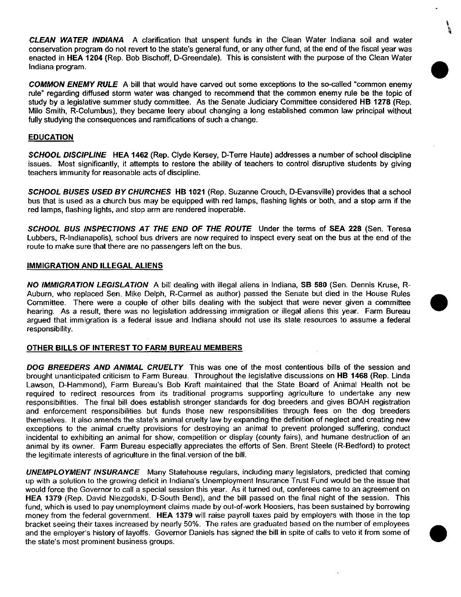*CLEAN WATER INDIANA* A clarification that unspent funds in the Clean Water Indiana soil and water conservation program do not revert to the state's general fund, or any other fund, at the end of the fiscal year was enacted in **HEA 1204** (Rep. Bob Bischoff, D-Greendale). This is consistent with the purpose of the Clean Water Indiana program. •

\

*COMMON ENEMY RULE* A bill that would have carved out some exceptions to the so-called "common enemy rule" regarding diffused storm water was changed to recommend that the common enemy rule be the topic of study by a legislative summer study committee. As the Senate Judiciary Committee considered **HB 1278** (Rep. Milo Smith, R-Columbus), they became leery about changing a long established common law principal without fully studying the consequences and ramifications of such a change.

## **EDUCATION**

*SCHOOL DISCIPLINE* **HEA 1462** (Rep. Clyde Kersey, D-Terre Haute) addresses a number of school discipline issues. Most significantly, it attempts to restore the ability of teachers to control disruptive students by giving teachers immunity for reasonable acts of discipline.

*SCHOOL BUSES USED BY CHURCHES* **HB 1021** (Rep. Suzanne Crouch, D-Evansville) provides that a school bus that is used as a church bus may be equipped with red lamps, flashing lights or both, and a stop arm if the red lamps, flashing lights, and stop arm are rendered inoperable.

*SCHOOL BUS INSPECTIONS AT THE END* **OF** *THE ROUTE* Under the terms of **SEA 228** (Sen. Teresa Lubbers, R-Indianapolis), school bus drivers are now required to inspect every seat on the bus at the end of the route to make sure that there are no passengers left on the bus.

### **IMMIGRATION AND ILLEGAL ALIENS**

*NO IMMIGRATION LEGISLATION* A bill dealing with illegal aliens in Indiana, **5B 580** (Sen. Dennis Kruse, R-Auburn, who replaced Sen. Mike Delph, R-Carmel as author) passed the Senate but died in the House Rules • Committee. There were a couple of other bills dealing with the subject that were never given a committee hearing. As a result, there was no legislation addressing immigration or illegal aliens this year. Farm Bureau argued that immigration is a federal issue and Indiana should not use its state resources to assume a federal responsibility.

#### **OTHER BILLS OF INTEREST TO FARM BUREAU MEMBERS**

*DOG BREEDERS AND ANIMAL CRUELTY* This was one of the most contentious bills of the session and brought unanticipated criticism to Farm Bureau. Throughout the legislative discussions on **HB 1468** (Rep. Linda Lawson, D-Hammond), Farm Bureau's Bob Kraft maintained that the State Board of Animal Health not be required to redirect resources from its traditional programs supporting agriculture to undertake any new responsibilities. The final bill does establish stronger standards for dog breeders and gives BOAH registration and enforcement responsibilities but funds those new responsibilities through fees on the dog breeders themselves. It also amends the state's animal cruelty law by expanding the definition of neglect and creating new exceptions to the animal cruelty provisions for destroying an animal to prevent prolonged suffering, conduct incidental to exhibiting an animal for show, competition or display (county fairs), and humane destruction of an animal by its owner. Farm Bureau especially appreciates the efforts of Sen. Brent Steele (R-Bedford) to protect the legitimate interests of agriculture in the final, version of the bill.

*UNEMPLOYMENT INSURANCE* Many Statehouse regulars, including many legislators, predicted that coming up with a solution to the growing deficit in Indiana's Unemployment Insurance Trust Fund would be the issue that would force the Governor to call a special session this year. As it turned out, conferees came to an agreement on **HEA 1379** (Rep. David Niezgodski, D-South Bend), and the bill passed on the final night of the session. This fund, which is used to pay unemployment claims made by out-of-work Hoosiers, has been sustained by borrowing money from the federal government. **HEA 1379** will raise payroll taxes paid by employers with those in the top bracket seeing their taxes increased by nearly 50%. The rates are graduated based on the number of employees and the employer's history of layoffs. Governor Daniels has signed the bill in spite of calls to veto it from some of the state's most prominent business groups.